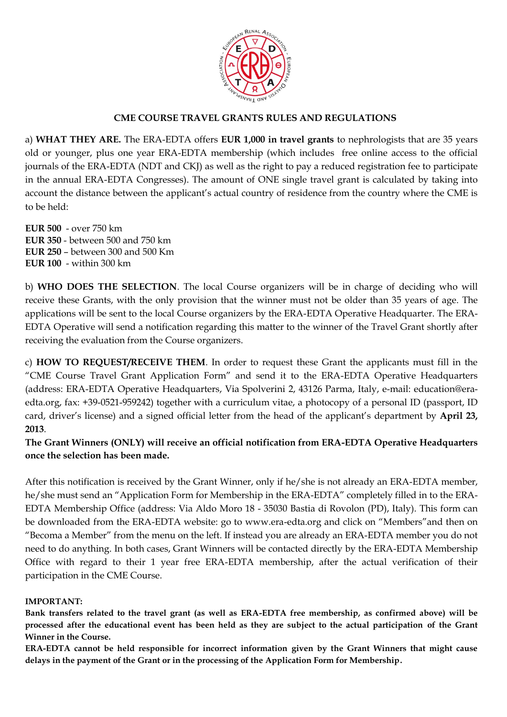

## **CME COURSE TRAVEL GRANTS RULES AND REGULATIONS**

a) **WHAT THEY ARE.** The ERA-EDTA offers **EUR 1,000 in travel grants** to nephrologists that are 35 years old or younger, plus one year ERA-EDTA membership (which includes free online access to the official journals of the ERA-EDTA (NDT and CKJ) as well as the right to pay a reduced registration fee to participate in the annual ERA-EDTA Congresses). The amount of ONE single travel grant is calculated by taking into account the distance between the applicant's actual country of residence from the country where the CME is to be held:

**EUR 500** - over 750 km **EUR 350** - between 500 and 750 km **EUR 250** – between 300 and 500 Km **EUR 100** - within 300 km

b) **WHO DOES THE SELECTION**. The local Course organizers will be in charge of deciding who will receive these Grants, with the only provision that the winner must not be older than 35 years of age. The applications will be sent to the local Course organizers by the ERA-EDTA Operative Headquarter. The ERA-EDTA Operative will send a notification regarding this matter to the winner of the Travel Grant shortly after receiving the evaluation from the Course organizers.

c) **HOW TO REQUEST/RECEIVE THEM**. In order to request these Grant the applicants must fill in the "CME Course Travel Grant Application Form" and send it to the ERA-EDTA Operative Headquarters (address: ERA-EDTA Operative Headquarters, Via Spolverini 2, 43126 Parma, Italy, e-mail: education@eraedta.org, fax: +39-0521-959242) together with a curriculum vitae, a photocopy of a personal ID (passport, ID card, driver's license) and a signed official letter from the head of the applicant's department by **April 23, 2013**.

**The Grant Winners (ONLY) will receive an official notification from ERA-EDTA Operative Headquarters once the selection has been made.** 

After this notification is received by the Grant Winner, only if he/she is not already an ERA-EDTA member, he/she must send an "Application Form for Membership in the ERA-EDTA" completely filled in to the ERA-EDTA Membership Office (address: Via Aldo Moro 18 - 35030 Bastia di Rovolon (PD), Italy). This form can be downloaded from the ERA-EDTA website: go to www.era-edta.org and click on "Members"and then on "Becoma a Member" from the menu on the left. If instead you are already an ERA-EDTA member you do not need to do anything. In both cases, Grant Winners will be contacted directly by the ERA-EDTA Membership Office with regard to their 1 year free ERA-EDTA membership, after the actual verification of their participation in the CME Course.

### **IMPORTANT:**

**Bank transfers related to the travel grant (as well as ERA-EDTA free membership, as confirmed above) will be processed after the educational event has been held as they are subject to the actual participation of the Grant Winner in the Course.**

**ERA-EDTA cannot be held responsible for incorrect information given by the Grant Winners that might cause delays in the payment of the Grant or in the processing of the Application Form for Membership.**